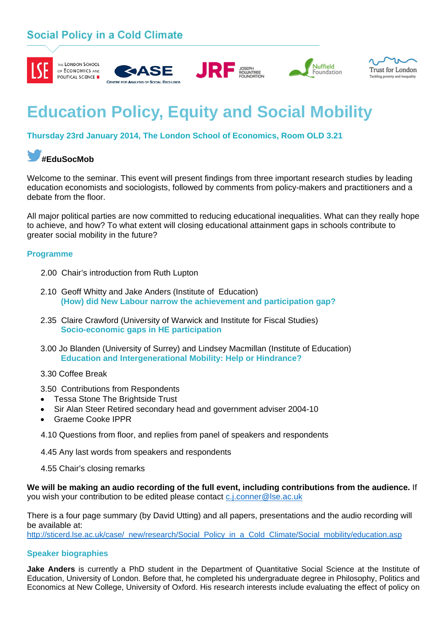### **Social Policy in a Cold Climate**











# **Education Policy, Equity and Social Mobility**

**Thursday 23rd January 2014, The London School of Economics, Room OLD 3.21**

## **#EduSocMob**

Welcome to the seminar. This event will present findings from three important research studies by leading education economists and sociologists, followed by comments from policy-makers and practitioners and a debate from the floor.

All major political parties are now committed to reducing educational inequalities. What can they really hope to achieve, and how? To what extent will closing educational attainment gaps in schools contribute to greater social mobility in the future?

### **Programme**

- 2.00 Chair's introduction from Ruth Lupton
- 2.10 Geoff Whitty and Jake Anders (Institute of Education) **(How) did New Labour narrow the achievement and participation gap?**
- 2.35 Claire Crawford (University of Warwick and Institute for Fiscal Studies)  **Socio-economic gaps in HE participation**
- 3.00 Jo Blanden (University of Surrey) and Lindsey Macmillan (Institute of Education)  **Education and Intergenerational Mobility: Help or Hindrance?**
- 3.30 Coffee Break

3.50 Contributions from Respondents

- Tessa Stone The Brightside Trust
- Sir Alan Steer Retired secondary head and government adviser 2004-10
- Graeme Cooke IPPR
- 4.10 Questions from floor, and replies from panel of speakers and respondents
- 4.45 Any last words from speakers and respondents
- 4.55 Chair's closing remarks

**We will be making an audio recording of the full event, including contributions from the audience.** If you wish your contribution to be edited please contact [c.j.conner@lse.ac.uk](mailto:c.j.conner@lse.ac.uk)

There is a four page summary (by David Utting) and all papers, presentations and the audio recording will be available at:

[http://sticerd.lse.ac.uk/case/\\_new/research/Social\\_Policy\\_in\\_a\\_Cold\\_Climate/Social\\_mobility/education.asp](http://sticerd.lse.ac.uk/case/_new/research/Social_Policy_in_a_Cold_Climate/Social_mobility/education.asp)

### **Speaker biographies**

**Jake Anders** is currently a PhD student in the Department of Quantitative Social Science at the Institute of Education, University of London. Before that, he completed his undergraduate degree in Philosophy, Politics and Economics at New College, University of Oxford. His research interests include evaluating the effect of policy on